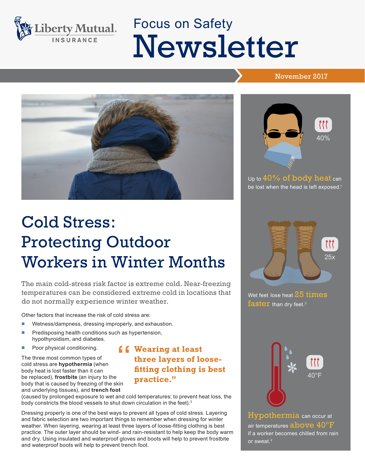

# Focus on Safety Newsletter

#### November 2017



## Cold Stress: Protecting Outdoor Workers in Winter Months

The main cold-stress risk factor is extreme cold. Near-freezing temperatures can be considered extreme cold in locations that do not normally experience winter weather.

Other factors that increase the risk of cold stress are:

- Wetness/dampness, dressing improperly, and exhaustion.
- Predisposing health conditions such as hypertension, hypothyroidism, and diabetes.
- Poor physical conditioning.

The three most common types of cold stress are **hypothermia** (when body heat is lost faster than it can be replaced), **frostbite** (an injury to the body that is caused by freezing of the skin and underlying tissues), and **trench foot** 

#### **f Wearing at least**<br>three layers of lo<br>fiting clothing is **three layers of loosefitting clothing is best practice."**

(caused by prolonged exposure to wet and cold temperatures; to prevent heat loss, the body constricts the blood vessels to shut down circulation in the feet).<sup>3</sup>

Dressing properly is one of the best ways to prevent all types of cold stress. Layering and fabric selection are two important things to remember when dressing for winter weather. When layering, wearing at least three layers of loose-fitting clothing is best practice. The outer layer should be wind- and rain-resistant to help keep the body warm and dry. Using insulated and waterproof gloves and boots will help to prevent frostbite and waterproof boots will help to prevent trench foot.



Up to 40% of body heat can be lost when the head is left exposed.<sup>1</sup>



Wet feet lose heat  $25$  times faster than dry feet.<sup>2</sup>



Hypothermia can occur at air temperatures above 40°F if a worker becomes chilled from rain or sweat.<sup>2</sup>